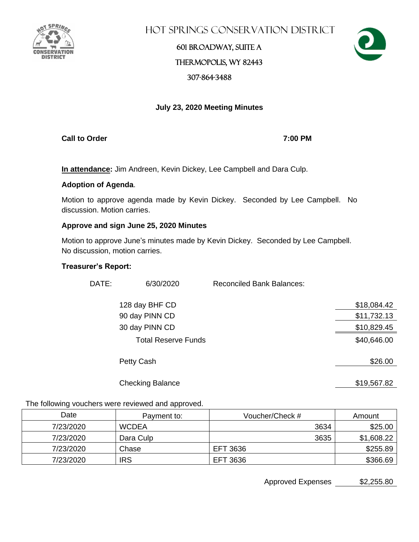

Hot Springs Conservation District

## 601 Broadway, Suite A Thermopolis, WY 82443 307-864-3488



### **July 23, 2020 Meeting Minutes**

**Call to Order 7:00 PM**

**In attendance:** Jim Andreen, Kevin Dickey, Lee Campbell and Dara Culp.

### **Adoption of Agenda**.

Motion to approve agenda made by Kevin Dickey. Seconded by Lee Campbell. No discussion. Motion carries.

### **Approve and sign June 25, 2020 Minutes**

Motion to approve June's minutes made by Kevin Dickey. Seconded by Lee Campbell. No discussion, motion carries.

### **Treasurer's Report:**

| DATE: | 6/30/2020                  | <b>Reconciled Bank Balances:</b> |             |
|-------|----------------------------|----------------------------------|-------------|
|       | 128 day BHF CD             |                                  | \$18,084.42 |
|       | 90 day PINN CD             |                                  | \$11,732.13 |
|       | 30 day PINN CD             |                                  | \$10,829.45 |
|       | <b>Total Reserve Funds</b> |                                  | \$40,646.00 |
|       | Petty Cash                 |                                  | \$26.00     |
|       | <b>Checking Balance</b>    |                                  | \$19,567.82 |

The following vouchers were reviewed and approved.

| Date      | Payment to:  | Voucher/Check # | Amount     |
|-----------|--------------|-----------------|------------|
| 7/23/2020 | <b>WCDEA</b> | 3634            | \$25.00    |
| 7/23/2020 | Dara Culp    | 3635            | \$1,608.22 |
| 7/23/2020 | Chase        | EFT 3636        | \$255.89   |
| 7/23/2020 | <b>IRS</b>   | EFT 3636        | \$366.69   |

Approved Expenses \$2,255.80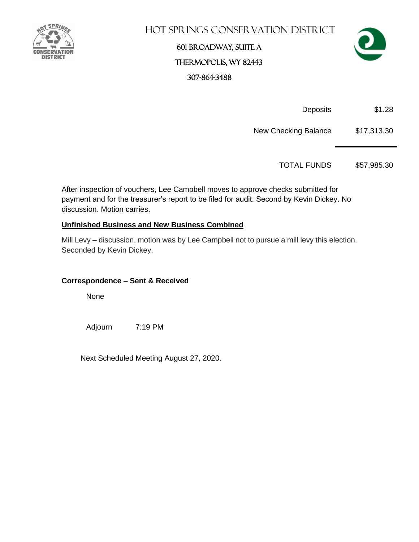

### Hot Springs Conservation District

## 601 Broadway, Suite A Thermopolis, WY 82443 307-864-3488



Deposits \$1.28

New Checking Balance \$17,313.30

TOTAL FUNDS \$57,985.30

After inspection of vouchers, Lee Campbell moves to approve checks submitted for payment and for the treasurer's report to be filed for audit. Second by Kevin Dickey. No discussion. Motion carries.

### **Unfinished Business and New Business Combined**

Mill Levy – discussion, motion was by Lee Campbell not to pursue a mill levy this election. Seconded by Kevin Dickey.

### **Correspondence – Sent & Received**

None

Adjourn 7:19 PM

Next Scheduled Meeting August 27, 2020.